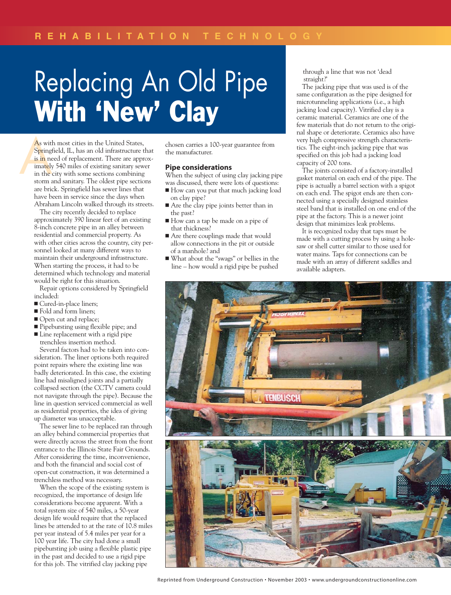## Replacing An Old Pipe With 'New' Clay

As with<br>
Spring<br>
is in ne<br>
imately<br>
in the<br>
storm a As with most cities in the United States, Springfield, IL, has an old infrastructure that is in need of replacement. There are approximately 540 miles of existing sanitary sewer in the city with some sections combining storm and sanitary. The oldest pipe sections are brick. Springfield has sewer lines that have been in service since the days when Abraham Lincoln walked through its streets.

> The city recently decided to replace approximately 390 linear feet of an existing 8-inch concrete pipe in an alley between residential and commercial property. As with other cities across the country, city personnel looked at many different ways to maintain their underground infrastructure. When starting the process, it had to be determined which technology and material would be right for this situation.

Repair options considered by Springfield included:

- Cured-in-place liners;
- **Fold and form liners;**
- Open cut and replace;
- Pipebursting using flexible pipe; and
- **Line replacement with a rigid pipe** trenchless insertion method.

Several factors had to be taken into consideration. The liner options both required point repairs where the existing line was badly deteriorated. In this case, the existing line had misaligned joints and a partially collapsed section (the CCTV camera could not navigate through the pipe). Because the line in question serviced commercial as well as residential properties, the idea of giving up diameter was unacceptable.

The sewer line to be replaced ran through an alley behind commercial properties that were directly across the street from the front entrance to the Illinois State Fair Grounds. After considering the time, inconvenience, and both the financial and social cost of open-cut construction, it was determined a trenchless method was necessary.

When the scope of the existing system is recognized, the importance of design life considerations become apparent. With a total system size of 540 miles, a 50-year design life would require that the replaced lines be attended to at the rate of 10.8 miles per year instead of 5.4 miles per year for a 100 year life. The city had done a small pipebursting job using a flexible plastic pipe in the past and decided to use a rigid pipe for this job. The vitrified clay jacking pipe

chosen carries a 100-year guarantee from the manufacturer.

## **Pipe considerations**

When the subject of using clay jacking pipe was discussed, there were lots of questions:

- How can you put that much jacking load on clay pipe?
- Are the clay pipe joints better than in the past?
- How can a tap be made on a pipe of that thickness?
- Are there couplings made that would allow connections in the pit or outside of a manhole? and
- What about the "swags" or bellies in the line – how would a rigid pipe be pushed

through a line that was not 'dead straight?'

The jacking pipe that was used is of the same configuration as the pipe designed for microtunneling applications (i.e., a high jacking load capacity). Vitrified clay is a ceramic material. Ceramics are one of the few materials that do not return to the original shape or deteriorate. Ceramics also have very high compressive strength characteristics. The eight-inch jacking pipe that was specified on this job had a jacking load capacity of 200 tons.

The joints consisted of a factory-installed gasket material on each end of the pipe. The pipe is actually a barrel section with a spigot on each end. The spigot ends are then connected using a specially designed stainless steel band that is installed on one end of the pipe at the factory. This is a newer joint design that minimizes leak problems.

It is recognized today that taps must be made with a cutting process by using a holesaw or shell cutter similar to those used for water mains. Taps for connections can be made with an array of different saddles and available adapters.